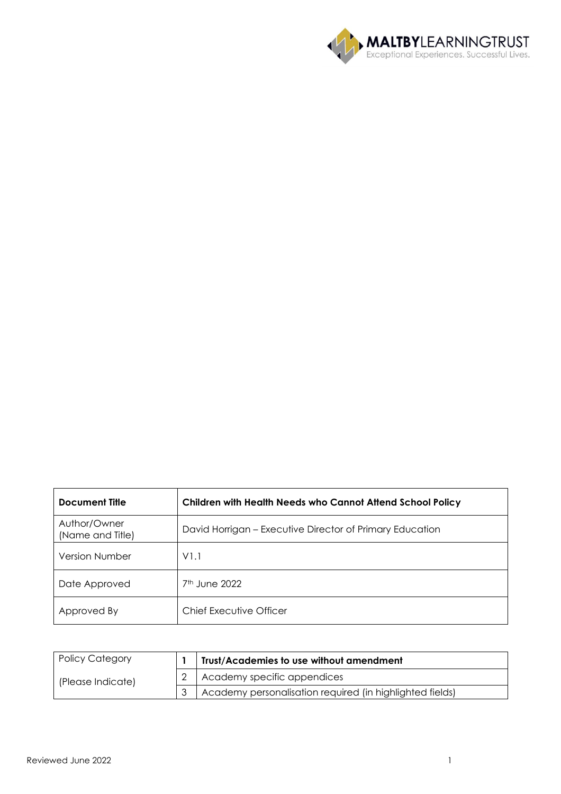

| <b>Document Title</b>            | Children with Health Needs who Cannot Attend School Policy |
|----------------------------------|------------------------------------------------------------|
| Author/Owner<br>(Name and Title) | David Horrigan - Executive Director of Primary Education   |
| <b>Version Number</b>            | V1.1                                                       |
| Date Approved                    | $7th$ June 2022                                            |
| Approved By                      | Chief Executive Officer                                    |

| <b>Policy Category</b> | Trust/Academies to use without amendment                 |
|------------------------|----------------------------------------------------------|
| (Please Indicate)      | Academy specific appendices                              |
|                        | Academy personalisation required (in highlighted fields) |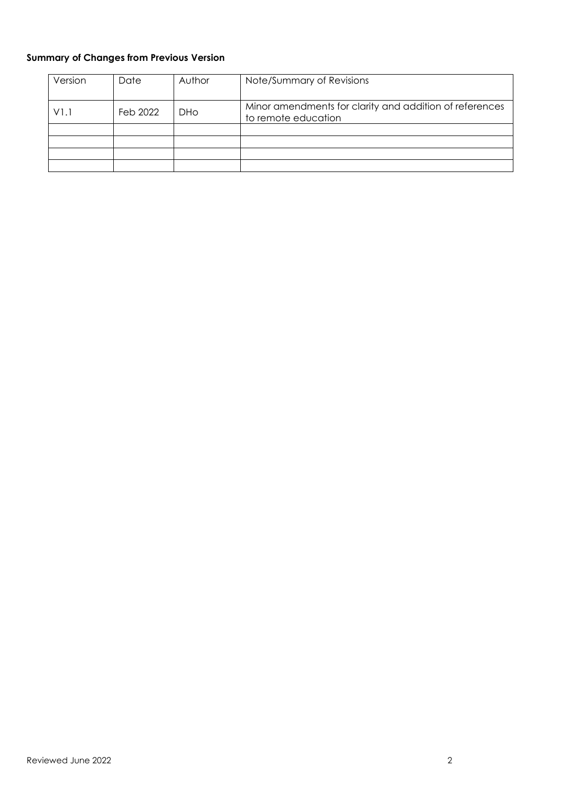# **Summary of Changes from Previous Version**

| Version | Date     | Author     | Note/Summary of Revisions                                                      |
|---------|----------|------------|--------------------------------------------------------------------------------|
| V1.1    | Feb 2022 | <b>DHo</b> | Minor amendments for clarity and addition of references<br>to remote education |
|         |          |            |                                                                                |
|         |          |            |                                                                                |
|         |          |            |                                                                                |
|         |          |            |                                                                                |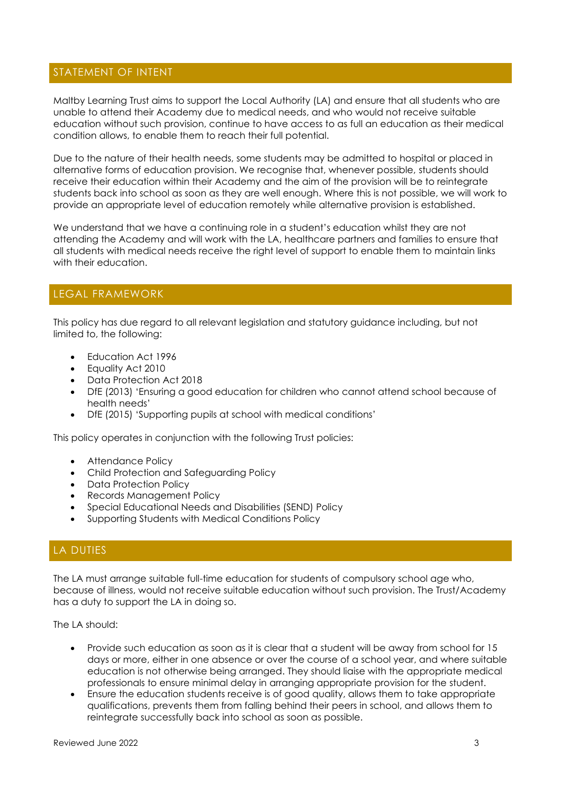# STATEMENT OF INTENT

Maltby Learning Trust aims to support the Local Authority (LA) and ensure that all students who are unable to attend their Academy due to medical needs, and who would not receive suitable education without such provision, continue to have access to as full an education as their medical condition allows, to enable them to reach their full potential.

Due to the nature of their health needs, some students may be admitted to hospital or placed in alternative forms of education provision. We recognise that, whenever possible, students should receive their education within their Academy and the aim of the provision will be to reintegrate students back into school as soon as they are well enough. Where this is not possible, we will work to provide an appropriate level of education remotely while alternative provision is established.

We understand that we have a continuing role in a student's education whilst they are not attending the Academy and will work with the LA, healthcare partners and families to ensure that all students with medical needs receive the right level of support to enable them to maintain links with their education.

# LEGAL FRAMEWORK

This policy has due regard to all relevant legislation and statutory guidance including, but not limited to, the following:

- Education Act 1996
- Equality Act 2010
- Data Protection Act 2018
- DfE (2013) 'Ensuring a good education for children who cannot attend school because of health needs'
- DfE (2015) 'Supporting pupils at school with medical conditions'

This policy operates in conjunction with the following Trust policies:

- Attendance Policy
- Child Protection and Safeguarding Policy
- Data Protection Policy
- Records Management Policy
- Special Educational Needs and Disabilities (SEND) Policy
- Supporting Students with Medical Conditions Policy

# LA DUTIES

The LA must arrange suitable full-time education for students of compulsory school age who, because of illness, would not receive suitable education without such provision. The Trust/Academy has a duty to support the LA in doing so.

The LA should:

- Provide such education as soon as it is clear that a student will be away from school for 15 days or more, either in one absence or over the course of a school year, and where suitable education is not otherwise being arranged. They should liaise with the appropriate medical professionals to ensure minimal delay in arranging appropriate provision for the student.
- Ensure the education students receive is of good quality, allows them to take appropriate qualifications, prevents them from falling behind their peers in school, and allows them to reintegrate successfully back into school as soon as possible.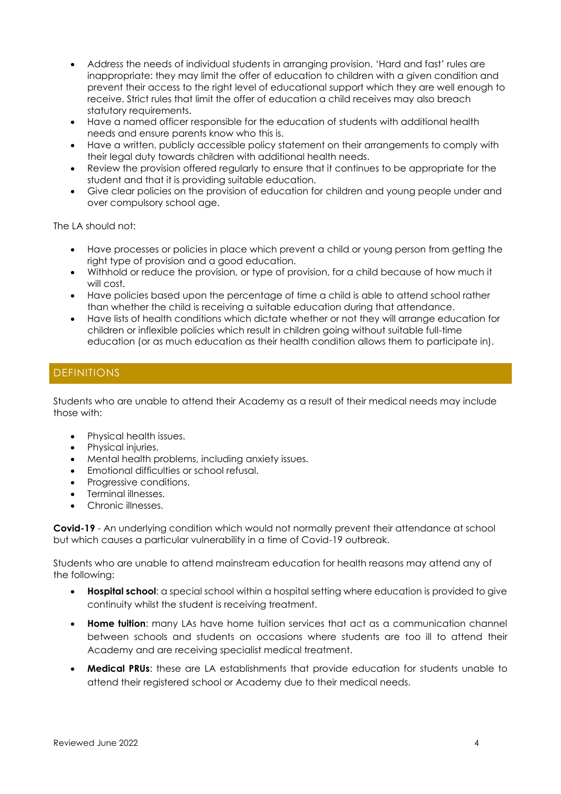- Address the needs of individual students in arranging provision. 'Hard and fast' rules are inappropriate: they may limit the offer of education to children with a given condition and prevent their access to the right level of educational support which they are well enough to receive. Strict rules that limit the offer of education a child receives may also breach statutory requirements.
- Have a named officer responsible for the education of students with additional health needs and ensure parents know who this is.
- Have a written, publicly accessible policy statement on their arrangements to comply with their legal duty towards children with additional health needs.
- Review the provision offered regularly to ensure that it continues to be appropriate for the student and that it is providing suitable education.
- Give clear policies on the provision of education for children and young people under and over compulsory school age.

The LA should not:

- Have processes or policies in place which prevent a child or young person from getting the right type of provision and a good education.
- Withhold or reduce the provision, or type of provision, for a child because of how much it will cost.
- Have policies based upon the percentage of time a child is able to attend school rather than whether the child is receiving a suitable education during that attendance.
- Have lists of health conditions which dictate whether or not they will arrange education for children or inflexible policies which result in children going without suitable full-time education (or as much education as their health condition allows them to participate in).

# DEFINITIONS

Students who are unable to attend their Academy as a result of their medical needs may include those with:

- Physical health issues.
- Physical injuries.
- Mental health problems, including anxiety issues.
- Emotional difficulties or school refusal.
- Progressive conditions.
- Terminal illnesses.
- Chronic illnesses.

**Covid-19** - An underlying condition which would not normally prevent their attendance at school but which causes a particular vulnerability in a time of Covid-19 outbreak.

Students who are unable to attend mainstream education for health reasons may attend any of the following:

- **Hospital school:** a special school within a hospital setting where education is provided to give continuity whilst the student is receiving treatment.
- **Home tuition**: many LAs have home tuition services that act as a communication channel between schools and students on occasions where students are too ill to attend their Academy and are receiving specialist medical treatment.
- **Medical PRUs**: these are LA establishments that provide education for students unable to attend their registered school or Academy due to their medical needs.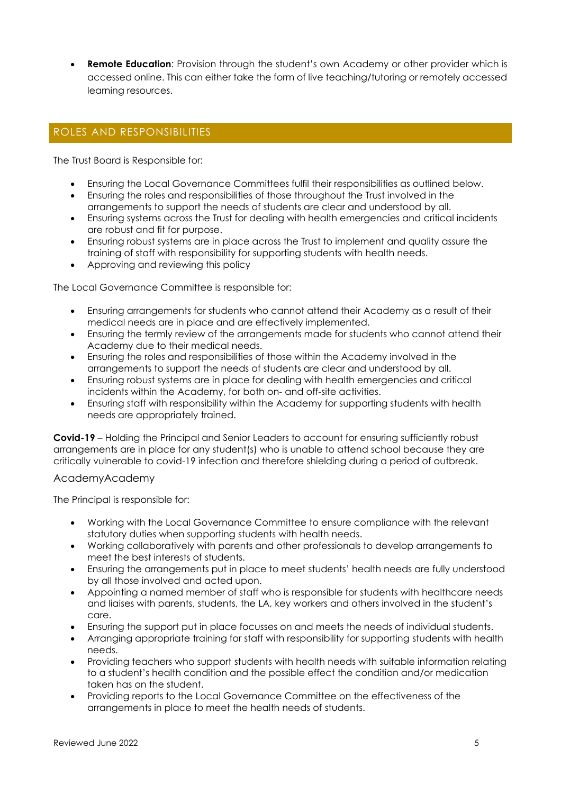**Remote Education:** Provision through the student's own Academy or other provider which is accessed online. This can either take the form of live teaching/tutoring or remotely accessed learning resources.

# ROLES AND RESPONSIBILITIES

The Trust Board is Responsible for:

- Ensuring the Local Governance Committees fulfil their responsibilities as outlined below.
- Ensuring the roles and responsibilities of those throughout the Trust involved in the arrangements to support the needs of students are clear and understood by all.
- Ensuring systems across the Trust for dealing with health emergencies and critical incidents are robust and fit for purpose.
- Ensuring robust systems are in place across the Trust to implement and quality assure the training of staff with responsibility for supporting students with health needs.
- Approving and reviewing this policy

The Local Governance Committee is responsible for:

- Ensuring arrangements for students who cannot attend their Academy as a result of their medical needs are in place and are effectively implemented.
- Ensuring the termly review of the arrangements made for students who cannot attend their Academy due to their medical needs.
- Ensuring the roles and responsibilities of those within the Academy involved in the arrangements to support the needs of students are clear and understood by all.
- Ensuring robust systems are in place for dealing with health emergencies and critical incidents within the Academy, for both on- and off-site activities.
- Ensuring staff with responsibility within the Academy for supporting students with health needs are appropriately trained.

**Covid-19** – Holding the Principal and Senior Leaders to account for ensuring sufficiently robust arrangements are in place for any student(s) who is unable to attend school because they are critically vulnerable to covid-19 infection and therefore shielding during a period of outbreak.

#### AcademyAcademy

The Principal is responsible for:

- Working with the Local Governance Committee to ensure compliance with the relevant statutory duties when supporting students with health needs.
- Working collaboratively with parents and other professionals to develop arrangements to meet the best interests of students.
- Ensuring the arrangements put in place to meet students' health needs are fully understood by all those involved and acted upon.
- Appointing a named member of staff who is responsible for students with healthcare needs and liaises with parents, students, the LA, key workers and others involved in the student's care.
- Ensuring the support put in place focusses on and meets the needs of individual students.
- Arranging appropriate training for staff with responsibility for supporting students with health needs.
- Providing teachers who support students with health needs with suitable information relating to a student's health condition and the possible effect the condition and/or medication taken has on the student.
- Providing reports to the Local Governance Committee on the effectiveness of the arrangements in place to meet the health needs of students.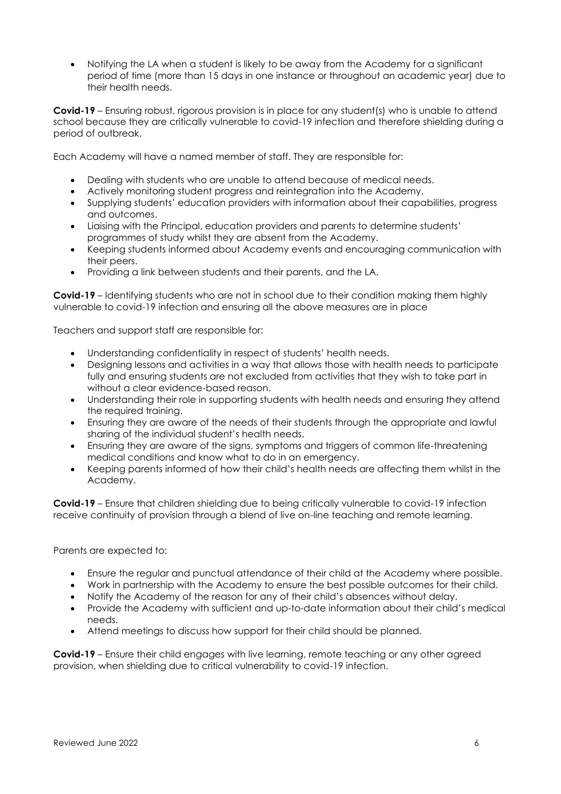• Notifying the LA when a student is likely to be away from the Academy for a significant period of time (more than 15 days in one instance or throughout an academic year) due to their health needs.

**Covid-19** – Ensuring robust, rigorous provision is in place for any student(s) who is unable to attend school because they are critically vulnerable to covid-19 infection and therefore shielding during a period of outbreak.

Each Academy will have a named member of staff. They are responsible for:

- Dealing with students who are unable to attend because of medical needs.
- Actively monitoring student progress and reintegration into the Academy.
- Supplying students' education providers with information about their capabilities, progress and outcomes.
- Liaising with the Principal, education providers and parents to determine students' programmes of study whilst they are absent from the Academy.
- Keeping students informed about Academy events and encouraging communication with their peers.
- Providing a link between students and their parents, and the LA.

**Covid-19** – Identifying students who are not in school due to their condition making them highly vulnerable to covid-19 infection and ensuring all the above measures are in place

Teachers and support staff are responsible for:

- Understanding confidentiality in respect of students' health needs.
- Designing lessons and activities in a way that allows those with health needs to participate fully and ensuring students are not excluded from activities that they wish to take part in without a clear evidence-based reason.
- Understanding their role in supporting students with health needs and ensuring they attend the required training.
- Ensuring they are aware of the needs of their students through the appropriate and lawful sharing of the individual student's health needs.
- Ensuring they are aware of the signs, symptoms and triggers of common life-threatening medical conditions and know what to do in an emergency.
- Keeping parents informed of how their child's health needs are affecting them whilst in the Academy.

**Covid-19** – Ensure that children shielding due to being critically vulnerable to covid-19 infection receive continuity of provision through a blend of live on-line teaching and remote learning.

Parents are expected to:

- Ensure the regular and punctual attendance of their child at the Academy where possible.
- Work in partnership with the Academy to ensure the best possible outcomes for their child.
- Notify the Academy of the reason for any of their child's absences without delay.
- Provide the Academy with sufficient and up-to-date information about their child's medical needs.
- Attend meetings to discuss how support for their child should be planned.

**Covid-19** – Ensure their child engages with live learning, remote teaching or any other agreed provision, when shielding due to critical vulnerability to covid-19 infection.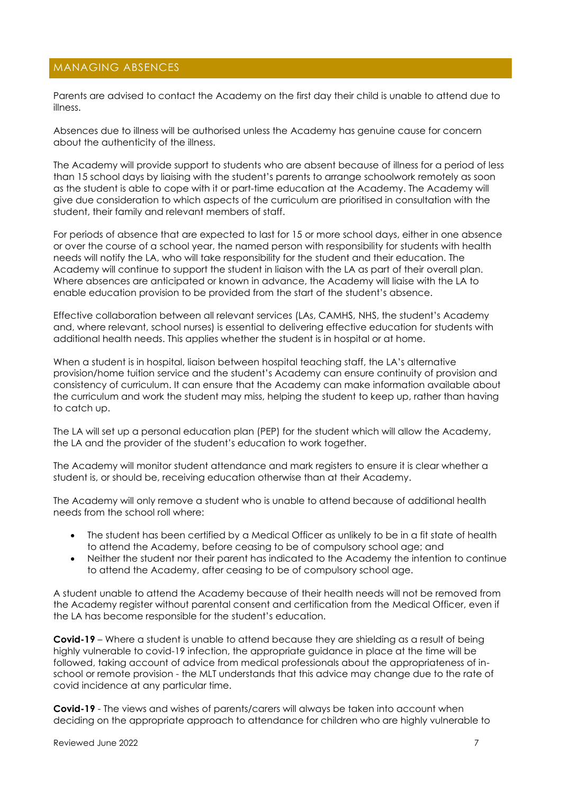# MANAGING ABSENCES

Parents are advised to contact the Academy on the first day their child is unable to attend due to illness.

Absences due to illness will be authorised unless the Academy has genuine cause for concern about the authenticity of the illness.

The Academy will provide support to students who are absent because of illness for a period of less than 15 school days by liaising with the student's parents to arrange schoolwork remotely as soon as the student is able to cope with it or part-time education at the Academy. The Academy will give due consideration to which aspects of the curriculum are prioritised in consultation with the student, their family and relevant members of staff.

For periods of absence that are expected to last for 15 or more school days, either in one absence or over the course of a school year, the named person with responsibility for students with health needs will notify the LA, who will take responsibility for the student and their education. The Academy will continue to support the student in liaison with the LA as part of their overall plan. Where absences are anticipated or known in advance, the Academy will liaise with the LA to enable education provision to be provided from the start of the student's absence.

Effective collaboration between all relevant services (LAs, CAMHS, NHS, the student's Academy and, where relevant, school nurses) is essential to delivering effective education for students with additional health needs. This applies whether the student is in hospital or at home.

When a student is in hospital, liaison between hospital teaching staff, the LA's alternative provision/home tuition service and the student's Academy can ensure continuity of provision and consistency of curriculum. It can ensure that the Academy can make information available about the curriculum and work the student may miss, helping the student to keep up, rather than having to catch up.

The LA will set up a personal education plan (PEP) for the student which will allow the Academy, the LA and the provider of the student's education to work together.

The Academy will monitor student attendance and mark registers to ensure it is clear whether a student is, or should be, receiving education otherwise than at their Academy.

The Academy will only remove a student who is unable to attend because of additional health needs from the school roll where:

- The student has been certified by a Medical Officer as unlikely to be in a fit state of health to attend the Academy, before ceasing to be of compulsory school age; and
- Neither the student nor their parent has indicated to the Academy the intention to continue to attend the Academy, after ceasing to be of compulsory school age.

A student unable to attend the Academy because of their health needs will not be removed from the Academy register without parental consent and certification from the Medical Officer, even if the LA has become responsible for the student's education.

**Covid-19** – Where a student is unable to attend because they are shielding as a result of being highly vulnerable to covid-19 infection, the appropriate guidance in place at the time will be followed, taking account of advice from medical professionals about the appropriateness of inschool or remote provision - the MLT understands that this advice may change due to the rate of covid incidence at any particular time.

**Covid-19** - The views and wishes of parents/carers will always be taken into account when deciding on the appropriate approach to attendance for children who are highly vulnerable to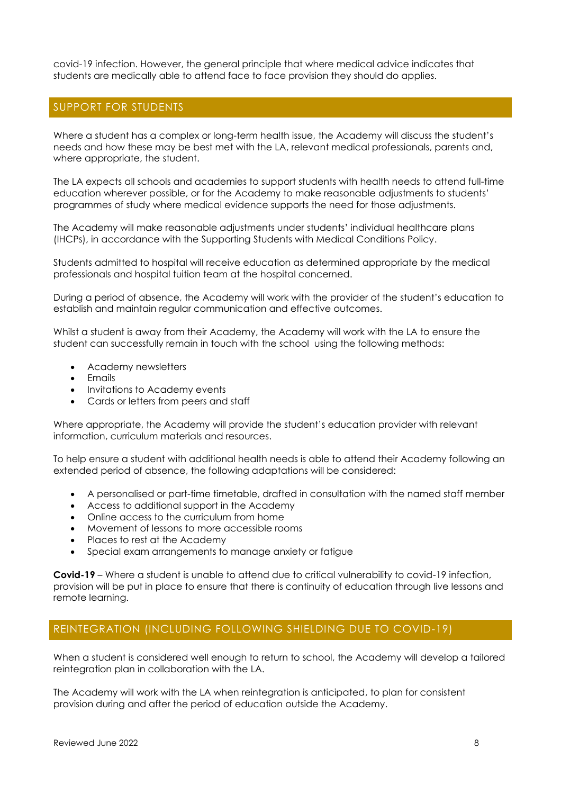covid-19 infection. However, the general principle that where medical advice indicates that students are medically able to attend face to face provision they should do applies.

#### SUPPORT FOR STUDENTS

Where a student has a complex or long-term health issue, the Academy will discuss the student's needs and how these may be best met with the LA, relevant medical professionals, parents and, where appropriate, the student.

The LA expects all schools and academies to support students with health needs to attend full-time education wherever possible, or for the Academy to make reasonable adjustments to students' programmes of study where medical evidence supports the need for those adjustments.

The Academy will make reasonable adjustments under students' individual healthcare plans (IHCPs), in accordance with the Supporting Students with Medical Conditions Policy.

Students admitted to hospital will receive education as determined appropriate by the medical professionals and hospital tuition team at the hospital concerned.

During a period of absence, the Academy will work with the provider of the student's education to establish and maintain regular communication and effective outcomes.

Whilst a student is away from their Academy, the Academy will work with the LA to ensure the student can successfully remain in touch with the school using the following methods:

- Academy newsletters
- **Emails**
- Invitations to Academy events
- Cards or letters from peers and staff

Where appropriate, the Academy will provide the student's education provider with relevant information, curriculum materials and resources.

To help ensure a student with additional health needs is able to attend their Academy following an extended period of absence, the following adaptations will be considered:

- A personalised or part-time timetable, drafted in consultation with the named staff member
- Access to additional support in the Academy
- Online access to the curriculum from home
- Movement of lessons to more accessible rooms
- Places to rest at the Academy
- Special exam arrangements to manage anxiety or fatigue

**Covid-19** – Where a student is unable to attend due to critical vulnerability to covid-19 infection, provision will be put in place to ensure that there is continuity of education through live lessons and remote learning.

#### REINTEGRATION (INCLUDING FOLLOWING SHIELDING DUE TO COVID-19)

When a student is considered well enough to return to school, the Academy will develop a tailored reintegration plan in collaboration with the LA.

The Academy will work with the LA when reintegration is anticipated, to plan for consistent provision during and after the period of education outside the Academy.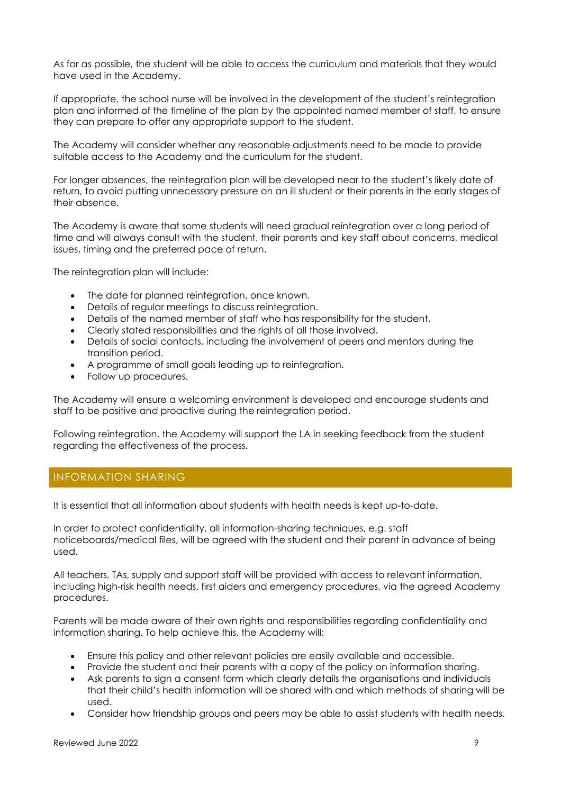As far as possible, the student will be able to access the curriculum and materials that they would have used in the Academy.

If appropriate, the school nurse will be involved in the development of the student's reintegration plan and informed of the timeline of the plan by the appointed named member of staff, to ensure they can prepare to offer any appropriate support to the student.

The Academy will consider whether any reasonable adjustments need to be made to provide suitable access to the Academy and the curriculum for the student.

For longer absences, the reintegration plan will be developed near to the student's likely date of return, to avoid putting unnecessary pressure on an ill student or their parents in the early stages of their absence.

The Academy is aware that some students will need gradual reintegration over a long period of time and will always consult with the student, their parents and key staff about concerns, medical issues, timing and the preferred pace of return.

The reintegration plan will include:

- The date for planned reintegration, once known.
- Details of regular meetings to discuss reintegration.
- Details of the named member of staff who has responsibility for the student.
- Clearly stated responsibilities and the rights of all those involved.
- Details of social contacts, including the involvement of peers and mentors during the transition period.
- A programme of small goals leading up to reintegration.
- Follow up procedures.

The Academy will ensure a welcoming environment is developed and encourage students and staff to be positive and proactive during the reintegration period.

Following reintegration, the Academy will support the LA in seeking feedback from the student regarding the effectiveness of the process.

#### INFORMATION SHARING

It is essential that all information about students with health needs is kept up-to-date.

In order to protect confidentiality, all information-sharing techniques, e.g. staff noticeboards/medical files, will be agreed with the student and their parent in advance of being used.

All teachers, TAs, supply and support staff will be provided with access to relevant information, including high-risk health needs, first aiders and emergency procedures, via the agreed Academy procedures.

Parents will be made aware of their own rights and responsibilities regarding confidentiality and information sharing. To help achieve this, the Academy will:

- Ensure this policy and other relevant policies are easily available and accessible.
- Provide the student and their parents with a copy of the policy on information sharing.
- Ask parents to sign a consent form which clearly details the organisations and individuals that their child's health information will be shared with and which methods of sharing will be used.
- Consider how friendship groups and peers may be able to assist students with health needs.